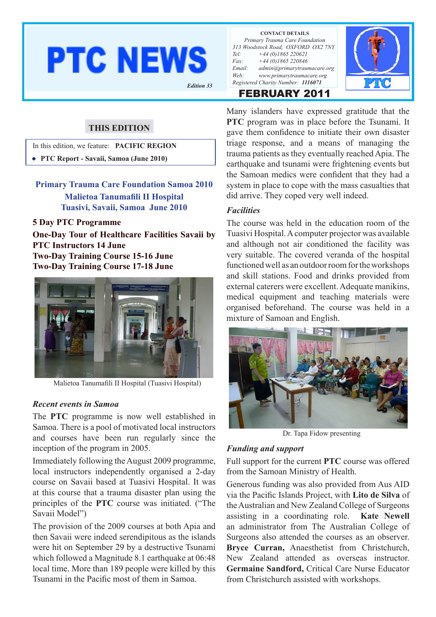# **PTC NEWS**

**CONTACT DETAILS** *Primary Trauma Care Foundation 313 Woodstock Road, OXFORD OX2 7NY Tel: +44 (0)1865 220621 Fax: +44 (0)1865 220846 Email: admin@primarytraumacare.org Web: www.primarytraumacare.org Registered Charity Number: <sup>1116071</sup> Edition 33*

FEBRUARY 2011



In this edition, we feature: **PACIFIC REGION**

**THIS EDITION**

• **PTC Report - Savaii, Samoa (June 2010)**

**Primary Trauma Care Foundation Samoa 2010 Malietoa Tanumafili II Hospital Tuasivi, Savaii, Samoa June 2010**

#### **5 Day PTC Programme**

**One-Day Tour of Healthcare Facilities Savaii by PTC Instructors 14 June Two-Day Training Course 15-16 June Two-Day Training Course 17-18 June**



Malietoa Tanumafili II Hospital (Tuasivi Hospital)

#### *Recent events in Samoa*

The **PTC** programme is now well established in Samoa. There is a pool of motivated local instructors and courses have been run regularly since the inception of the program in 2005.

Immediately following the August 2009 programme, local instructors independently organised a 2-day course on Savaii based at Tuasivi Hospital. It was at this course that a trauma disaster plan using the principles of the **PTC** course was initiated. ("The Savaii Model")

The provision of the 2009 courses at both Apia and then Savaii were indeed serendipitous as the islands were hit on September 29 by a destructive Tsunami which followed a Magnitude 8.1 earthquake at 06:48 local time. More than 189 people were killed by this Tsunami in the Pacific most of them in Samoa.

Many islanders have expressed gratitude that the **PTC** program was in place before the Tsunami. It gave them confidence to initiate their own disaster triage response, and a means of managing the trauma patients as they eventually reached Apia. The earthquake and tsunami were frightening events but the Samoan medics were confident that they had a system in place to cope with the mass casualties that did arrive. They coped very well indeed.

#### *Facilities*

The course was held in the education room of the Tuasivi Hospital. A computer projector was available and although not air conditioned the facility was very suitable. The covered veranda of the hospital functioned well as an outdoor room for the workshops and skill stations. Food and drinks provided from external caterers were excellent. Adequate manikins, medical equipment and teaching materials were organised beforehand. The course was held in a mixture of Samoan and English.



Dr. Tapa Fidow presenting

#### *Funding and support*

Full support for the current **PTC** course was offered from the Samoan Ministry of Health.

Generous funding was also provided from Aus AID via the Pacific Islands Project, with **Lito de Silva** of the Australian and New Zealand College of Surgeons assisting in a coordinating role. **Kate Newell** an administrator from The Australian College of Surgeons also attended the courses as an observer. **Bryce Curran,** Anaesthetist from Christchurch, New Zealand attended as overseas instructor. **Germaine Sandford,** Critical Care Nurse Educator from Christchurch assisted with workshops.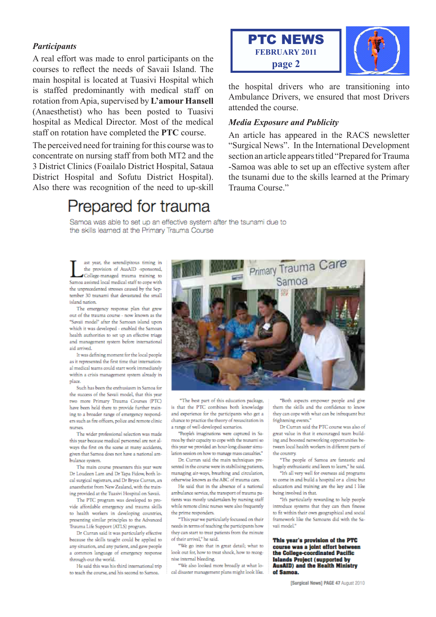#### **Participants**

A real effort was made to enrol participants on the courses to reflect the needs of Savaii Island. The main hospital is located at Tuasivi Hospital which is staffed predominantly with medical staff on rotation from Apia, supervised by L'amour Hansell (Anaesthetist) who has been posted to Tuasivi hospital as Medical Director. Most of the medical staff on rotation have completed the PTC course.

The perceived need for training for this course was to concentrate on nursing staff from both MT2 and the 3 District Clinics (Foailalo District Hospital, Sataua District Hospital and Sofutu District Hospital). Also there was recognition of the need to up-skill

# Prepared for trauma



the hospital drivers who are transitioning into Ambulance Drivers, we ensured that most Drivers attended the course.

#### **Media Exposure and Publicity**

An article has appeared in the RACS newsletter "Surgical News". In the International Development section an article appears titled "Prepared for Trauma" -Samoa was able to set up an effective system after the tsunami due to the skills learned at the Primary Trauma Course."

Samoa was able to set up an effective system after the tsunami due to the skills learned at the Primary Trauma Course

ast year, the serendipitous timing in the provision of AusAID -sponsored, College-managed trauma training to Samoa assisted local medical staff to cope with the unprecedented stresses caused by the September 30 tainomi that devactated the small island nation.

The emergency response plan that grew out of the trauma course - now known as the "Savaii model" after the Samoan island upon which it was developed - enabled the Samoan health authorities to set up an effective triage and management system before international aid arrived.

It was defining moment for the local people as it represented the first time that international medical teams could start work immediately within a crisis management system already in place.

Such has been the enthusiasm in Samoa for the success of the Savaii model, that this year two more Primary Trauma Courses (PTC) have been held there to provide further training to a broader range of emergency responders such as fire officers, police and remote clinic nurses

The wider professional selection was made this year because medical personnel are not always the first on the scene at many accidents. given that Samoa does not have a national ambulance system.

The main course presenters this year were Dr Loudeen Lam and Dr Tana Fidow, both local surgical registrars, and Dr Bryce Curran, an anaesthetist from New Zealand, with the training provided at the Tuasivi Hospital on Savaii.

The PTC program was developed to provide affordable emergency and trauma skills to health workers in developing countries, presenting similar principles to the Advanced Trauma Life Support (ATLS) program.

Dr Curran said it was particularly effective because the skills taught could be applied to any situation, and any patient, and gave people a common language of emergency response through-out the world.

He said this was his third international trip to teach the course, and his second to Samoa.



"The best part of this education package, is that the PTC combines both knowledge and experience for the participants who get a chance to practice the theory of resuscitation in a range of well-developed scenarios.

"People's imaginations were captured in Samoa by their capacity to cope with the tsunami so this year we provided an hour-long disaster simulation session on how to manage mass casualties."

Dr. Curran said the main techniques presented in the course were in stabilising patients, managing air-ways, breathing and circulation, otherwise known as the ABC of trauma care.

He said that in the absence of a national ambulance service, the transport of trauma patients was mostly undertaken by nursing staff while remote clinic nurses were also frequently the prime responders.

"This year we particularly focussed on their needs in terms of teaching the participants how they can start to treat patients from the minute of their arrival," he said.

"We go into that in great detail; what to look out for, how to treat shock, how to recognise internal bleeding.

"We also looked more broadly at what local disaster management plans might look like.

"Both aspects empower people and give them the skills and the confidence to know they can cope with what can be infrequent but frightening events."

Dr Curran said the PTC course was also of great value in that it encouraged team building and boosted networking opportunities between local health workers in different parts of the country.

"The people of Samoa are fantastic and hugely enthusiastic and keen to learn," he said.

"It's all very well for overseas aid programs to come in and build a hospital or a clinic but education and training are the key and I like being involved in that.

"It's particularly rewarding to help people introduce systems that they can then finesse to fit within their own geographical and social framework like the Samoans did with the Savaii model.'

This year's provision of the PTC course was a joint effort between the College-coordinated Pacific **Islands Project (supported by AusAID)** and the Health Ministry of Samoa.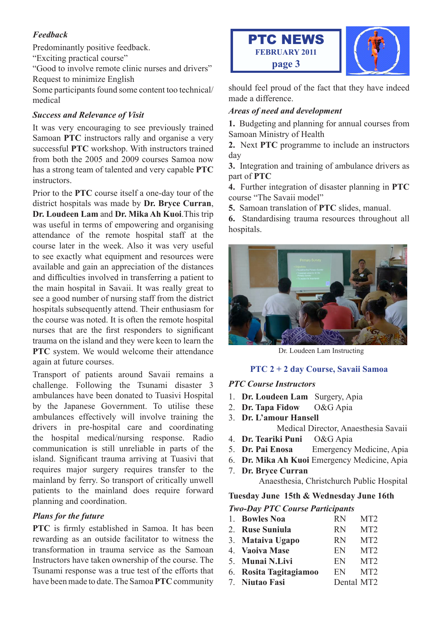#### *Feedback*

Predominantly positive feedback.

"Exciting practical course"

"Good to involve remote clinic nurses and drivers" Request to minimize English

Some participants found some content too technical/ medical

#### *Success and Relevance of Visit*

It was very encouraging to see previously trained Samoan **PTC** instructors rally and organise a very successful **PTC** workshop. With instructors trained from both the 2005 and 2009 courses Samoa now has a strong team of talented and very capable **PTC** instructors.

Prior to the **PTC** course itself a one-day tour of the district hospitals was made by **Dr. Bryce Curran**, **Dr. Loudeen Lam** and **Dr. Mika Ah Kuoi**.This trip was useful in terms of empowering and organising attendance of the remote hospital staff at the course later in the week. Also it was very useful to see exactly what equipment and resources were available and gain an appreciation of the distances and difficulties involved in transferring a patient to the main hospital in Savaii. It was really great to see a good number of nursing staff from the district hospitals subsequently attend. Their enthusiasm for the course was noted. It is often the remote hospital nurses that are the first responders to significant trauma on the island and they were keen to learn the **PTC** system. We would welcome their attendance again at future courses.

Transport of patients around Savaii remains a challenge. Following the Tsunami disaster 3 ambulances have been donated to Tuasivi Hospital by the Japanese Government. To utilise these ambulances effectively will involve training the drivers in pre-hospital care and coordinating the hospital medical/nursing response. Radio communication is still unreliable in parts of the island. Significant trauma arriving at Tuasivi that requires major surgery requires transfer to the mainland by ferry. So transport of critically unwell patients to the mainland does require forward planning and coordination.

#### *Plans for the future*

**PTC** is firmly established in Samoa. It has been rewarding as an outside facilitator to witness the transformation in trauma service as the Samoan Instructors have taken ownership of the course. The Tsunami response was a true test of the efforts that have been made to date. The Samoa **PTC** community





should feel proud of the fact that they have indeed made a difference.

#### *Areas of need and development*

**1.** Budgeting and planning for annual courses from Samoan Ministry of Health

**2.** Next **PTC** programme to include an instructors day

**3.** Integration and training of ambulance drivers as part of **PTC**

**4.** Further integration of disaster planning in **PTC** course "The Savaii model"

**5.** Samoan translation of **PTC** slides, manual.

**6.** Standardising trauma resources throughout all hospitals.



Dr. Loudeen Lam Instructing

#### **PTC 2 + 2 day Course, Savaii Samoa**

#### *PTC Course Instructors*

- 1. **Dr. Loudeen Lam** Surgery, Apia
- 2. **Dr. Tapa Fidow** O&G Apia
- 3. **Dr. L'amour Hansell** Medical Director, Anaesthesia Savaii
- 4. **Dr. Teariki Puni** O&G Apia
- 5. **Dr. Pai Enosa** Emergency Medicine, Apia
- 6. **Dr. Mika Ah Kuoi** Emergency Medicine, Apia
- 7. **Dr. Bryce Curran** Anaesthesia, Christchurch Public Hospital

#### **Tuesday June 15th & Wednesday June 16th**

#### *Two-Day PTC Course Participants*

| 1. Bowles Noa          | <b>RN</b> | MT <sub>2</sub> |
|------------------------|-----------|-----------------|
| 2. Ruse Suniula        | <b>RN</b> | MT <sub>2</sub> |
| 3. Mataiva Ugapo       | <b>RN</b> | MT <sub>2</sub> |
| 4. Vaoiva Mase         | EN        | MT <sub>2</sub> |
| 5. Munai N.Livi        | EN.       | MT <sub>2</sub> |
| 6. Rosita Tagitagiamoo | EN.       | MT <sub>2</sub> |
| 7. Niutao Fasi         |           |                 |
|                        |           | Dental MT2      |